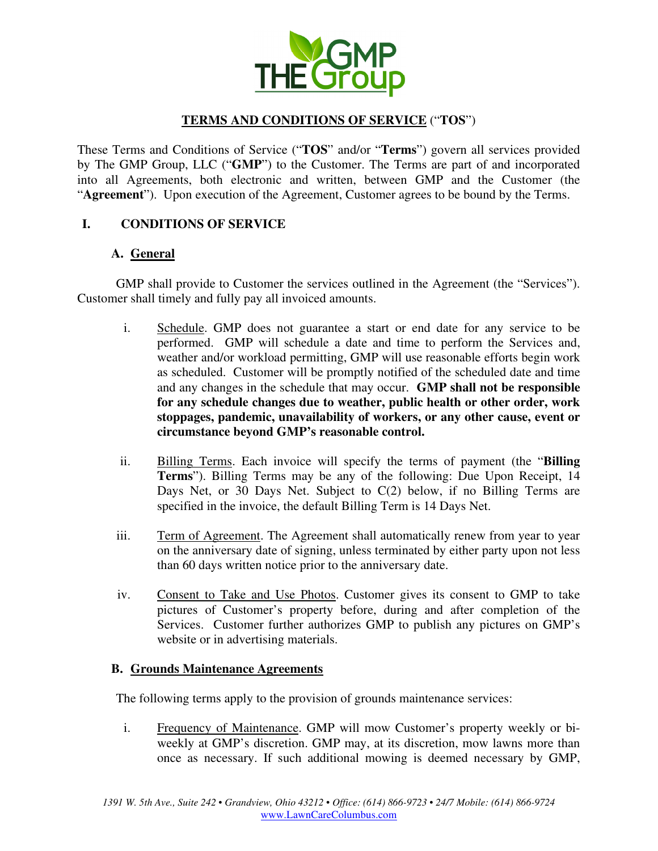

# **TERMS AND CONDITIONS OF SERVICE** ("**TOS**")

These Terms and Conditions of Service ("**TOS**" and/or "**Terms**") govern all services provided by The GMP Group, LLC ("**GMP**") to the Customer. The Terms are part of and incorporated into all Agreements, both electronic and written, between GMP and the Customer (the "**Agreement**"). Upon execution of the Agreement, Customer agrees to be bound by the Terms.

## **I. CONDITIONS OF SERVICE**

## **A. General**

GMP shall provide to Customer the services outlined in the Agreement (the "Services"). Customer shall timely and fully pay all invoiced amounts.

- i. Schedule. GMP does not guarantee a start or end date for any service to be performed. GMP will schedule a date and time to perform the Services and, weather and/or workload permitting, GMP will use reasonable efforts begin work as scheduled. Customer will be promptly notified of the scheduled date and time and any changes in the schedule that may occur. **GMP shall not be responsible for any schedule changes due to weather, public health or other order, work stoppages, pandemic, unavailability of workers, or any other cause, event or circumstance beyond GMP's reasonable control.**
- ii. Billing Terms. Each invoice will specify the terms of payment (the "**Billing Terms**"). Billing Terms may be any of the following: Due Upon Receipt, 14 Days Net, or 30 Days Net. Subject to C(2) below, if no Billing Terms are specified in the invoice, the default Billing Term is 14 Days Net.
- iii. Term of Agreement. The Agreement shall automatically renew from year to year on the anniversary date of signing, unless terminated by either party upon not less than 60 days written notice prior to the anniversary date.
- iv. Consent to Take and Use Photos. Customer gives its consent to GMP to take pictures of Customer's property before, during and after completion of the Services. Customer further authorizes GMP to publish any pictures on GMP's website or in advertising materials.

## **B. Grounds Maintenance Agreements**

The following terms apply to the provision of grounds maintenance services:

i. Frequency of Maintenance. GMP will mow Customer's property weekly or biweekly at GMP's discretion. GMP may, at its discretion, mow lawns more than once as necessary. If such additional mowing is deemed necessary by GMP,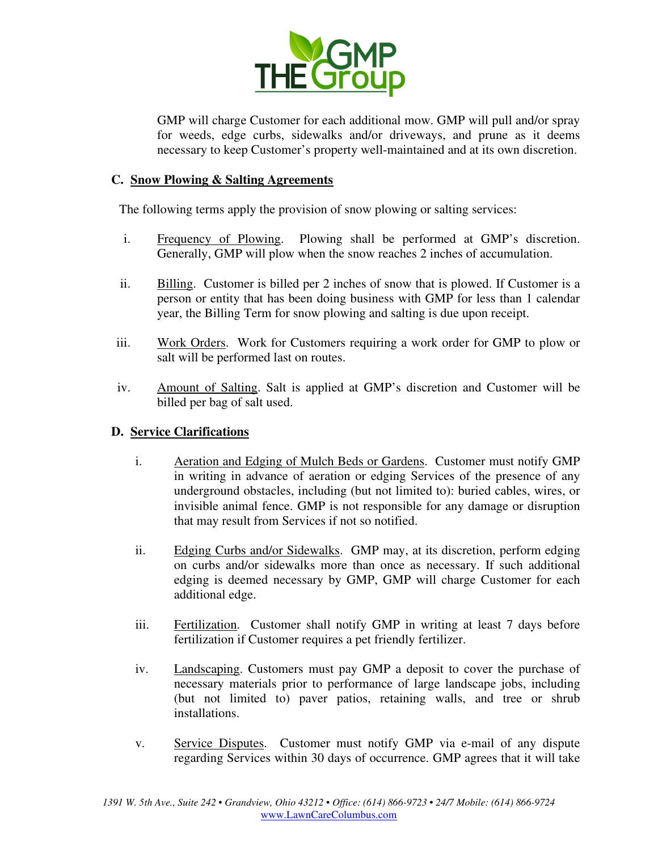

GMP will charge Customer for each additional mow. GMP will pull and/or spray for weeds, edge curbs, sidewalks and/or driveways, and prune as it deems necessary to keep Customer's property well-maintained and at its own discretion.

### **C. Snow Plowing & Salting Agreements**

The following terms apply the provision of snow plowing or salting services:

- i. Frequency of Plowing. Plowing shall be performed at GMP's discretion. Generally, GMP will plow when the snow reaches 2 inches of accumulation.
- ii. Billing. Customer is billed per 2 inches of snow that is plowed. If Customer is a person or entity that has been doing business with GMP for less than 1 calendar year, the Billing Term for snow plowing and salting is due upon receipt.
- iii. Work Orders. Work for Customers requiring a work order for GMP to plow or salt will be performed last on routes.
- iv. Amount of Salting. Salt is applied at GMP's discretion and Customer will be billed per bag of salt used.

### **D. Service Clarifications**

- i. Aeration and Edging of Mulch Beds or Gardens. Customer must notify GMP in writing in advance of aeration or edging Services of the presence of any underground obstacles, including (but not limited to): buried cables, wires, or invisible animal fence. GMP is not responsible for any damage or disruption that may result from Services if not so notified.
- ii. Edging Curbs and/or Sidewalks. GMP may, at its discretion, perform edging on curbs and/or sidewalks more than once as necessary. If such additional edging is deemed necessary by GMP, GMP will charge Customer for each additional edge.
- iii. Fertilization. Customer shall notify GMP in writing at least 7 days before fertilization if Customer requires a pet friendly fertilizer.
- iv. Landscaping. Customers must pay GMP a deposit to cover the purchase of necessary materials prior to performance of large landscape jobs, including (but not limited to) paver patios, retaining walls, and tree or shrub installations.
- v. Service Disputes. Customer must notify GMP via e-mail of any dispute regarding Services within 30 days of occurrence. GMP agrees that it will take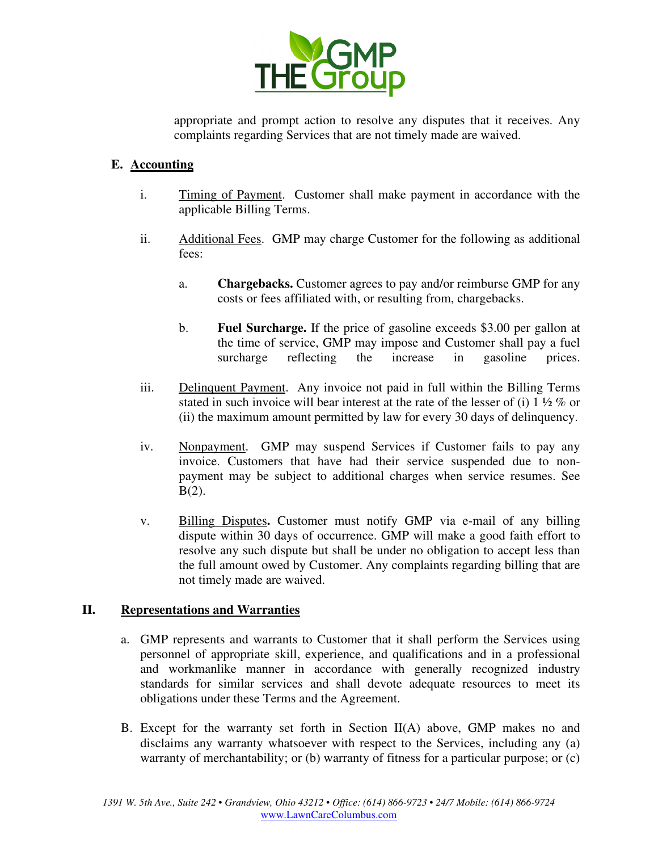

appropriate and prompt action to resolve any disputes that it receives. Any complaints regarding Services that are not timely made are waived.

# **E. Accounting**

- i. Timing of Payment. Customer shall make payment in accordance with the applicable Billing Terms.
- ii. Additional Fees. GMP may charge Customer for the following as additional fees:
	- a. **Chargebacks.** Customer agrees to pay and/or reimburse GMP for any costs or fees affiliated with, or resulting from, chargebacks.
	- b. **Fuel Surcharge.** If the price of gasoline exceeds \$3.00 per gallon at the time of service, GMP may impose and Customer shall pay a fuel surcharge reflecting the increase in gasoline prices.
- iii. Delinquent Payment. Any invoice not paid in full within the Billing Terms stated in such invoice will bear interest at the rate of the lesser of (i) 1 ½ % or (ii) the maximum amount permitted by law for every 30 days of delinquency.
- iv. Nonpayment. GMP may suspend Services if Customer fails to pay any invoice. Customers that have had their service suspended due to nonpayment may be subject to additional charges when service resumes. See  $B(2)$ .
- v. Billing Disputes**.** Customer must notify GMP via e-mail of any billing dispute within 30 days of occurrence. GMP will make a good faith effort to resolve any such dispute but shall be under no obligation to accept less than the full amount owed by Customer. Any complaints regarding billing that are not timely made are waived.

## **II. Representations and Warranties**

- a. GMP represents and warrants to Customer that it shall perform the Services using personnel of appropriate skill, experience, and qualifications and in a professional and workmanlike manner in accordance with generally recognized industry standards for similar services and shall devote adequate resources to meet its obligations under these Terms and the Agreement.
- B. Except for the warranty set forth in Section II(A) above, GMP makes no and disclaims any warranty whatsoever with respect to the Services, including any (a) warranty of merchantability; or (b) warranty of fitness for a particular purpose; or (c)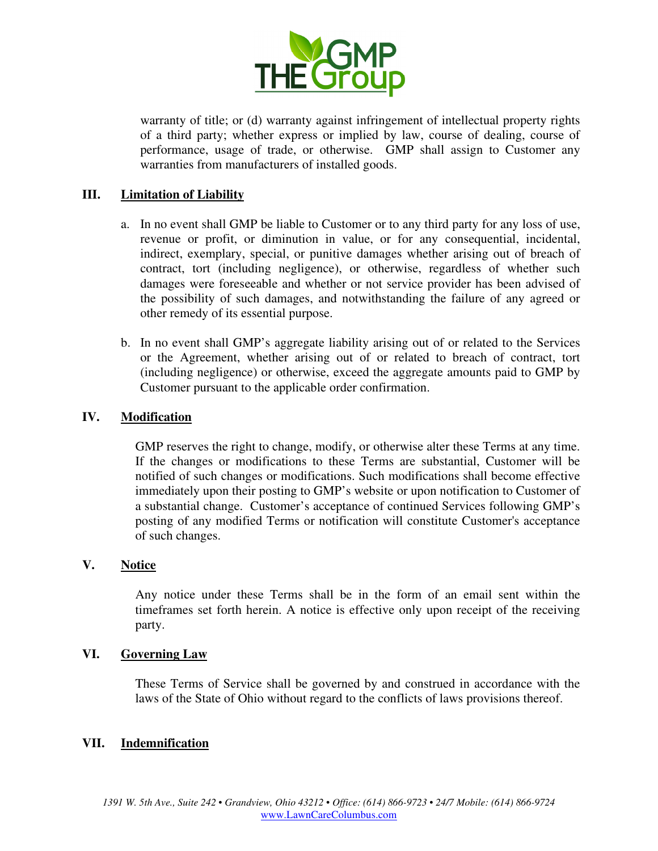

warranty of title; or (d) warranty against infringement of intellectual property rights of a third party; whether express or implied by law, course of dealing, course of performance, usage of trade, or otherwise. GMP shall assign to Customer any warranties from manufacturers of installed goods.

### **III. Limitation of Liability**

- a. In no event shall GMP be liable to Customer or to any third party for any loss of use, revenue or profit, or diminution in value, or for any consequential, incidental, indirect, exemplary, special, or punitive damages whether arising out of breach of contract, tort (including negligence), or otherwise, regardless of whether such damages were foreseeable and whether or not service provider has been advised of the possibility of such damages, and notwithstanding the failure of any agreed or other remedy of its essential purpose.
- b. In no event shall GMP's aggregate liability arising out of or related to the Services or the Agreement, whether arising out of or related to breach of contract, tort (including negligence) or otherwise, exceed the aggregate amounts paid to GMP by Customer pursuant to the applicable order confirmation.

### **IV. Modification**

GMP reserves the right to change, modify, or otherwise alter these Terms at any time. If the changes or modifications to these Terms are substantial, Customer will be notified of such changes or modifications. Such modifications shall become effective immediately upon their posting to GMP's website or upon notification to Customer of a substantial change. Customer's acceptance of continued Services following GMP's posting of any modified Terms or notification will constitute Customer's acceptance of such changes.

### **V. Notice**

Any notice under these Terms shall be in the form of an email sent within the timeframes set forth herein. A notice is effective only upon receipt of the receiving party.

### **VI. Governing Law**

These Terms of Service shall be governed by and construed in accordance with the laws of the State of Ohio without regard to the conflicts of laws provisions thereof.

### **VII. Indemnification**